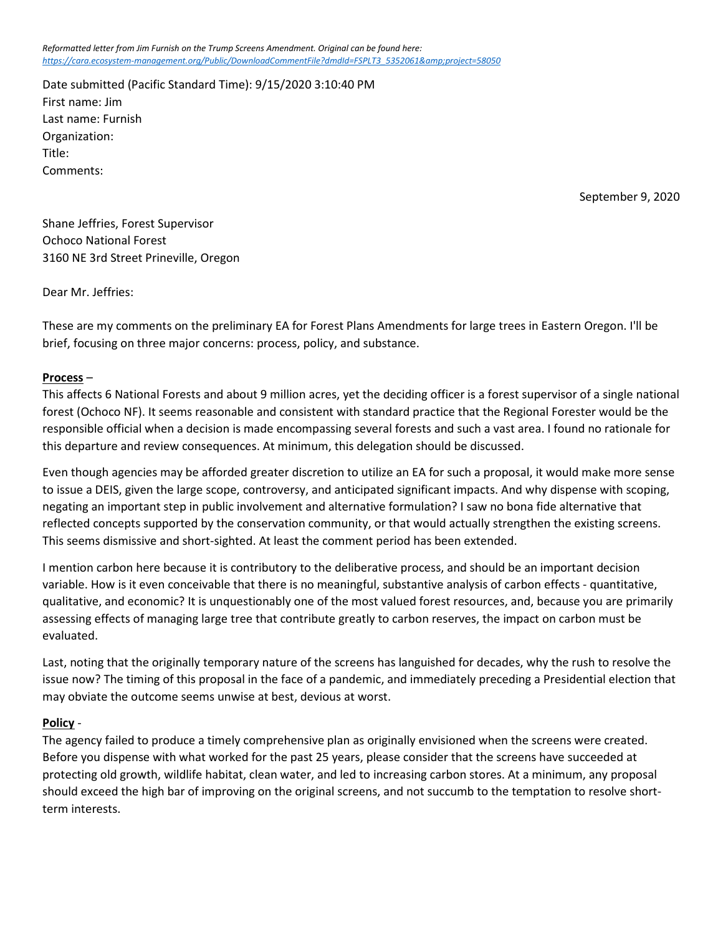*Reformatted letter from Jim Furnish on the Trump Screens Amendment. Original can be found here:*  https://cara.ecosystem-management.org/Public/DownloadCommentFile?dmdId=FSPLT3\_5352061&project=58050

Date submitted (Pacific Standard Time): 9/15/2020 3:10:40 PM First name: Jim Last name: Furnish Organization: Title: Comments:

September 9, 2020

Shane Jeffries, Forest Supervisor Ochoco National Forest 3160 NE 3rd Street Prineville, Oregon

Dear Mr. Jeffries:

These are my comments on the preliminary EA for Forest Plans Amendments for large trees in Eastern Oregon. I'll be brief, focusing on three major concerns: process, policy, and substance.

## **Process** –

This affects 6 National Forests and about 9 million acres, yet the deciding officer is a forest supervisor of a single national forest (Ochoco NF). It seems reasonable and consistent with standard practice that the Regional Forester would be the responsible official when a decision is made encompassing several forests and such a vast area. I found no rationale for this departure and review consequences. At minimum, this delegation should be discussed.

Even though agencies may be afforded greater discretion to utilize an EA for such a proposal, it would make more sense to issue a DEIS, given the large scope, controversy, and anticipated significant impacts. And why dispense with scoping, negating an important step in public involvement and alternative formulation? I saw no bona fide alternative that reflected concepts supported by the conservation community, or that would actually strengthen the existing screens. This seems dismissive and short-sighted. At least the comment period has been extended.

I mention carbon here because it is contributory to the deliberative process, and should be an important decision variable. How is it even conceivable that there is no meaningful, substantive analysis of carbon effects - quantitative, qualitative, and economic? It is unquestionably one of the most valued forest resources, and, because you are primarily assessing effects of managing large tree that contribute greatly to carbon reserves, the impact on carbon must be evaluated.

Last, noting that the originally temporary nature of the screens has languished for decades, why the rush to resolve the issue now? The timing of this proposal in the face of a pandemic, and immediately preceding a Presidential election that may obviate the outcome seems unwise at best, devious at worst.

## **Policy** -

The agency failed to produce a timely comprehensive plan as originally envisioned when the screens were created. Before you dispense with what worked for the past 25 years, please consider that the screens have succeeded at protecting old growth, wildlife habitat, clean water, and led to increasing carbon stores. At a minimum, any proposal should exceed the high bar of improving on the original screens, and not succumb to the temptation to resolve shortterm interests.